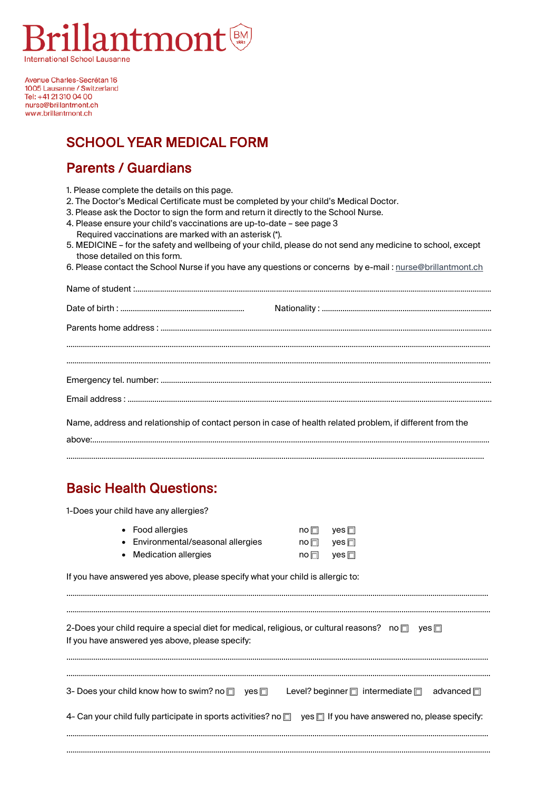# illantmont **International School Lausanne**

Avenue Charles-Secrétan 16 1005 Lausanne / Switzerland Tel: +41 21 310 04 00 nurse@brillantmont.ch www.brillantmont.ch

## SCHOOL YEAR MEDICAL FORM

#### Parents / Guardians

- 1. Please complete the details on this page.
- 2. The Doctor's Medical Certificate must be completed by your child's Medical Doctor.
- 3. Please ask the Doctor to sign the form and return it directly to the School Nurse.
- 4. Please ensure your child's vaccinations are up-to-date see page 3
- Required vaccinations are marked with an asterisk (\*).
- 5. MEDICINE for the safety and wellbeing of your child, please do not send any medicine to school, except those detailed on this form.
- 6. Please contact the School Nurse if you have any questions or concerns by e-mail [: nurse@brillantmont.ch](mailto:nurse@brillantmont.ch)

| Name, address and relationship of contact person in case of health related problem, if different from the |  |
|-----------------------------------------------------------------------------------------------------------|--|
|                                                                                                           |  |

………………………………………………………………………………………………………………………………………………………………………………….

# Basic Health Questions:

| 1-Does your child have any allergies?                                                                                                                                   |                                   |                                     |  |
|-------------------------------------------------------------------------------------------------------------------------------------------------------------------------|-----------------------------------|-------------------------------------|--|
| • Food allergies<br>• Environmental/seasonal allergies<br><b>Medication allergies</b><br>If you have answered yes above, please specify what your child is allergic to: | $no \Box$<br>no $\square$<br>no ⊟ | yes <b>□</b><br>yes ⊡<br>ves $\Box$ |  |
|                                                                                                                                                                         |                                   |                                     |  |
| 2-Does your child require a special diet for medical, religious, or cultural reasons? no $\Box$ yes $\Box$<br>If you have answered yes above, please specify:           |                                   |                                     |  |
| 3- Does your child know how to swim? no $\square$ yes $\square$ Level? beginner $\square$ intermediate $\square$ advanced $\square$                                     |                                   |                                     |  |
| 4- Can your child fully participate in sports activities? no $\Box$ yes $\Box$ If you have answered no, please specify:                                                 |                                   |                                     |  |
|                                                                                                                                                                         |                                   |                                     |  |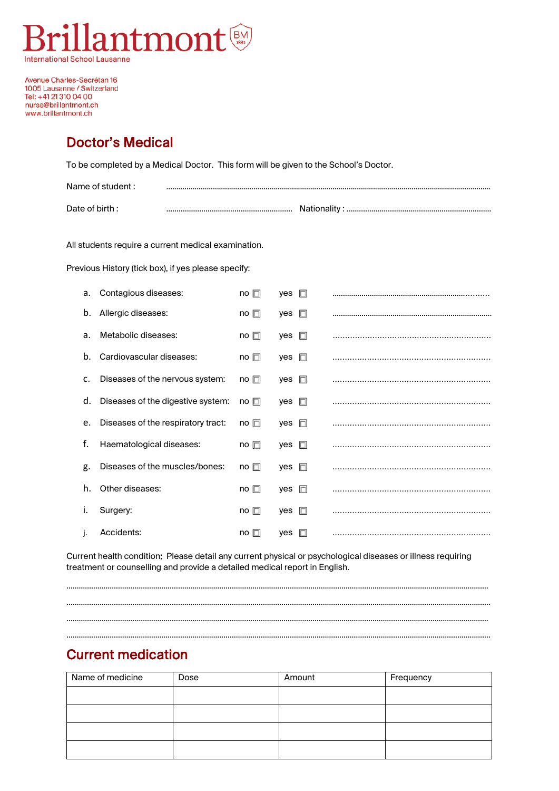

Avenue Charles-Secrétan 16 1005 Lausanne / Switzerland Tel: +41 21 310 04 00 nurse@brillantmont.ch www.brillantmont.ch

#### Doctor's Medical

To be completed by a Medical Doctor. This form will be given to the School's Doctor.

| Name of student : |  |
|-------------------|--|
| Date of birth:    |  |

All students require a current medical examination.

Previous History (tick box), if yes please specify:

| а.             | Contagious diseases:               | $no \Box$    | <b>ves</b>      |  |
|----------------|------------------------------------|--------------|-----------------|--|
| b.             | Allergic diseases:                 | $no \Box$    | D<br>yes        |  |
| a.             | Metabolic diseases:                | $no \Box$    | ves<br>$\Box$   |  |
| b.             | Cardiovascular diseases:           | no $\square$ | $ves \Box$      |  |
| $\mathsf{C}$ . | Diseases of the nervous system:    | no $\square$ | n<br>ves        |  |
| d.             | Diseases of the digestive system:  | $no \Box$    | $yes \Box$      |  |
| e.             | Diseases of the respiratory tract: | no $\square$ | $yes \Box$      |  |
| f.             | Haematological diseases:           | $no \Box$    | $ves$ $\Box$    |  |
| g.             | Diseases of the muscles/bones:     | $no \Box$    | ves<br>П        |  |
| h.             | Other diseases:                    | $no \Box$    | $\Box$<br>ves   |  |
| i.             | Surgery:                           | $no \Box$    | <b>ves</b><br>П |  |
| j.             | Accidents:                         | $no \Box$    | <b>ves</b>      |  |

Current health condition: Please detail any current physical or psychological diseases or illness requiring treatment or counselling and provide a detailed medical report in English.

…………………………………………………………………………………………………………………………………………………………………………………… ……………………………………………………………………………………………………………………………………………………………………….…………… …………………………………………………………………………………………………………………………………………………………………………………… ……………………………………………………………………………………………………………………………………………………………………….……………



| Name of medicine | Dose | Amount | Frequency |
|------------------|------|--------|-----------|
|                  |      |        |           |
|                  |      |        |           |
|                  |      |        |           |
|                  |      |        |           |